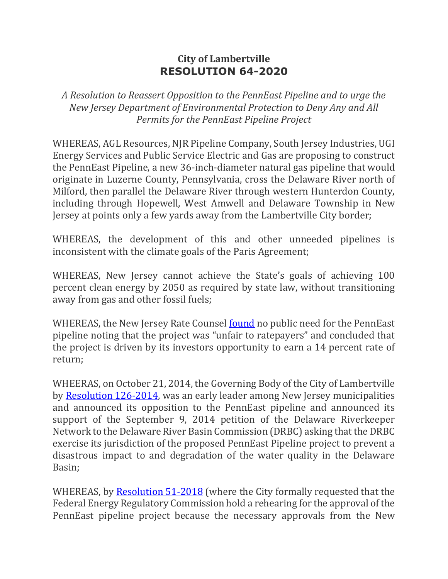## **City of Lambertville RESOLUTION 64-2020**

*A Resolution to Reassert Opposition to the PennEast Pipeline and to urge the New Jersey Department of Environmental Protection to Deny Any and All Permits for the PennEast Pipeline Project*

WHEREAS, AGL Resources, NJR Pipeline Company, South Jersey Industries, UGI Energy Services and Public Service Electric and Gas are proposing to construct the PennEast Pipeline, a new 36-inch-diameter natural gas pipeline that would originate in Luzerne County, Pennsylvania, cross the Delaware River north of Milford, then parallel the Delaware River through western Hunterdon County, including through Hopewell, West Amwell and Delaware Township in New Jersey at points only a few yards away from the Lambertville City border;

WHEREAS, the development of this and other unneeded pipelines is inconsistent with the climate goals of the Paris Agreement;

WHEREAS, New Jersey cannot achieve the State's goals of achieving 100 percent clean energy by 2050 as required by state law, without transitioning away from gas and other fossil fuels;

WHEREAS, the New Jersey Rate Counsel [found](https://www.lambertvillenj.org/images/Dept/PennEast/Rate%20Counsel%20Answer%20to%20PennEast.pdf) no public need for the PennEast pipeline noting that the project was "unfair to ratepayers" and concluded that the project is driven by its investors opportunity to earn a 14 percent rate of return;

WHEERAS, on October 21, 2014, the Governing Body of the City of Lambertville by [Resolution 126-2014,](https://www.stoppenneast.org/index.php/documents/resolutions/16-lambertville-resolution/file) was an early leader among New Jersey municipalities and announced its opposition to the PennEast pipeline and announced its support of the September 9, 2014 petition of the Delaware Riverkeeper Network to the Delaware River Basin Commission (DRBC) asking that the DRBC exercise its jurisdiction of the proposed PennEast Pipeline project to prevent a disastrous impact to and degradation of the water quality in the Delaware Basin;

WHEREAS, by [Resolution 51-2018](https://lambertvillenj.org/?option=com_fileman&view=file&routed=1&name=51-2018%20PennEast%20Pipeline.pdf&folder=Dept/PennEast&container=fileman-files) (where the City formally requested that the Federal Energy Regulatory Commission hold a rehearing for the approval of the PennEast pipeline project because the necessary approvals from the New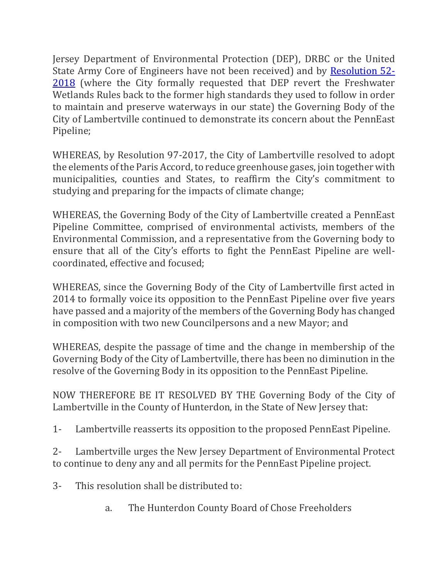Jersey Department of Environmental Protection (DEP), DRBC or the United State Army Core of Engineers have not been received) and by [Resolution 52-](https://lambertvillenj.org/?option=com_fileman&view=file&routed=1&name=51-2018%20PennEast%20Pipeline.pdf&folder=Dept/PennEast&container=fileman-files) [2018](https://lambertvillenj.org/?option=com_fileman&view=file&routed=1&name=51-2018%20PennEast%20Pipeline.pdf&folder=Dept/PennEast&container=fileman-files) (where the City formally requested that DEP revert the Freshwater Wetlands Rules back to the former high standards they used to follow in order to maintain and preserve waterways in our state) the Governing Body of the City of Lambertville continued to demonstrate its concern about the PennEast Pipeline;

WHEREAS, by Resolution 97-2017, the City of Lambertville resolved to adopt the elements of the Paris Accord, to reduce greenhouse gases, join together with municipalities, counties and States, to reaffirm the City's commitment to studying and preparing for the impacts of climate change;

WHEREAS, the Governing Body of the City of Lambertville created a PennEast Pipeline Committee, comprised of environmental activists, members of the Environmental Commission, and a representative from the Governing body to ensure that all of the City's efforts to fight the PennEast Pipeline are wellcoordinated, effective and focused;

WHEREAS, since the Governing Body of the City of Lambertville first acted in 2014 to formally voice its opposition to the PennEast Pipeline over five years have passed and a majority of the members of the Governing Body has changed in composition with two new Councilpersons and a new Mayor; and

WHEREAS, despite the passage of time and the change in membership of the Governing Body of the City of Lambertville, there has been no diminution in the resolve of the Governing Body in its opposition to the PennEast Pipeline.

NOW THEREFORE BE IT RESOLVED BY THE Governing Body of the City of Lambertville in the County of Hunterdon, in the State of New Jersey that:

1- Lambertville reasserts its opposition to the proposed PennEast Pipeline.

2- Lambertville urges the New Jersey Department of Environmental Protect to continue to deny any and all permits for the PennEast Pipeline project.

- 3- This resolution shall be distributed to:
	- a. The Hunterdon County Board of Chose Freeholders